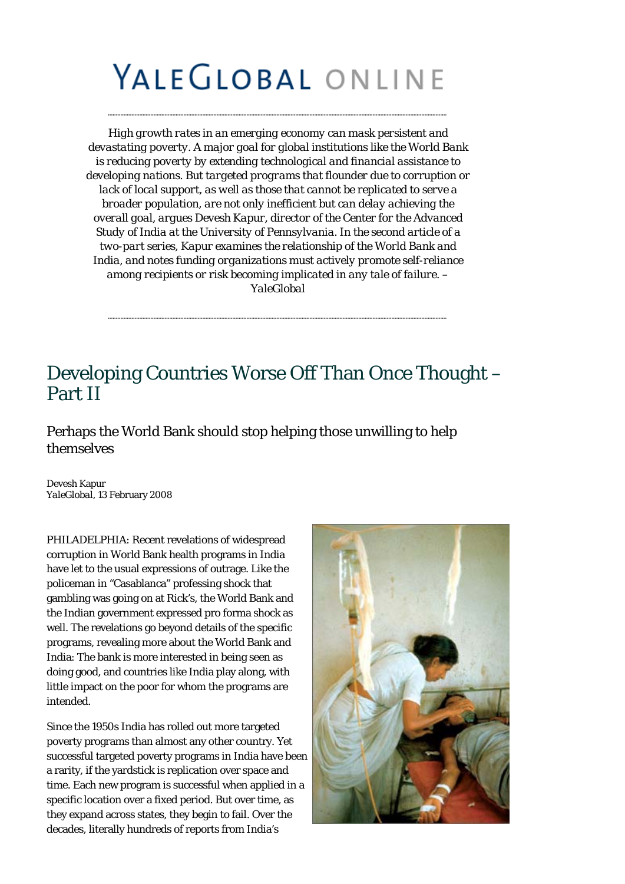## YALEGLOBAL ONLINE

*High growth rates in an emerging economy can mask persistent and devastating poverty. A major goal for global institutions like the World Bank is reducing poverty by extending technological and financial assistance to developing nations. But targeted programs that flounder due to corruption or lack of local support, as well as those that cannot be replicated to serve a broader population, are not only inefficient but can delay achieving the overall goal, argues Devesh Kapur, director of the Center for the Advanced Study of India at the University of Pennsylvania. In the second article of a two-part series, Kapur examines the relationship of the World Bank and India, and notes funding organizations must actively promote self-reliance among recipients or risk becoming implicated in any tale of failure. – YaleGlobal*

## Developing Countries Worse Off Than Once Thought – Part II

Perhaps the World Bank should stop helping those unwilling to help themselves

Devesh Kapur *YaleGlobal*, 13 February 2008

PHILADELPHIA: Recent revelations of widespread corruption in World Bank health programs in India have let to the usual expressions of outrage. Like the policeman in "Casablanca" professing shock that gambling was going on at Rick's, the World Bank and the Indian government expressed pro forma shock as well. The revelations go beyond details of the specific programs, revealing more about the World Bank and India: The bank is more interested in being seen as doing good, and countries like India play along, with little impact on the poor for whom the programs are intended.

Since the 1950s India has rolled out more targeted poverty programs than almost any other country. Yet successful targeted poverty programs in India have been a rarity, if the yardstick is replication over space and time. Each new program is successful when applied in a specific location over a fixed period. But over time, as they expand across states, they begin to fail. Over the decades, literally hundreds of reports from India's

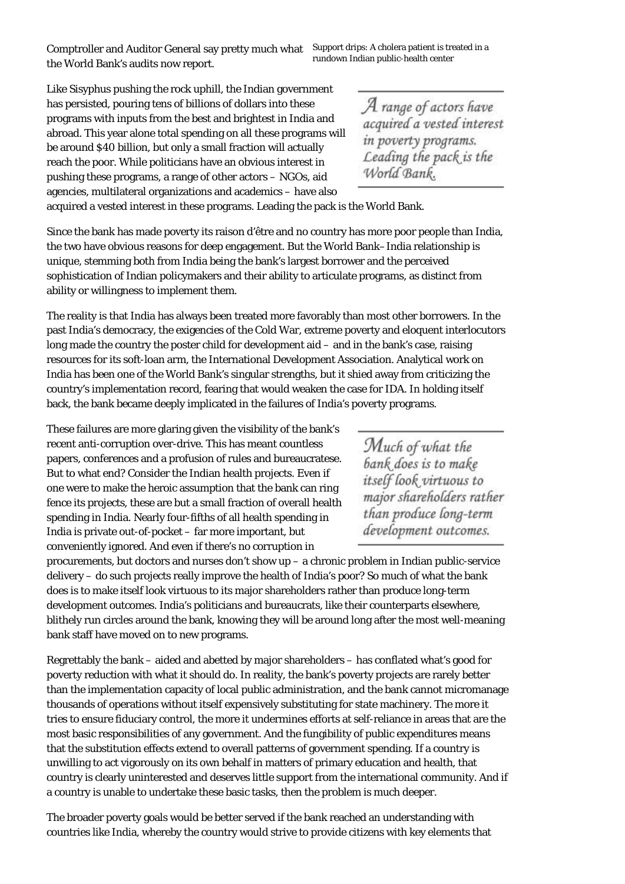Comptroller and Auditor General say pretty much what Support drips: A cholera patient is treated in a<br>the Weyld Bark's and the mass was not a rundown Indian public-health center the World Bank's audits now report.

Like Sisyphus pushing the rock uphill, the Indian government has persisted, pouring tens of billions of dollars into these programs with inputs from the best and brightest in India and abroad. This year alone total spending on all these programs will be around \$40 billion, but only a small fraction will actually reach the poor. While politicians have an obvious interest in pushing these programs, a range of other actors – NGOs, aid agencies, multilateral organizations and academics – have also

A range of actors have<br>acquired a vested interest in poverty programs. Leading the pack is the<br>World Bank.

acquired a vested interest in these programs. Leading the pack is the World Bank.

Since the bank has made poverty its raison d'être and no country has more poor people than India, the two have obvious reasons for deep engagement. But the World Bank–India relationship is unique, stemming both from India being the bank's largest borrower and the perceived sophistication of Indian policymakers and their ability to articulate programs, as distinct from ability or willingness to implement them.

The reality is that India has always been treated more favorably than most other borrowers. In the past India's democracy, the exigencies of the Cold War, extreme poverty and eloquent interlocutors long made the country the poster child for development aid – and in the bank's case, raising resources for its soft-loan arm, the International Development Association. Analytical work on India has been one of the World Bank's singular strengths, but it shied away from criticizing the country's implementation record, fearing that would weaken the case for IDA. In holding itself back, the bank became deeply implicated in the failures of India's poverty programs.

These failures are more glaring given the visibility of the bank's recent anti-corruption over-drive. This has meant countless papers, conferences and a profusion of rules and bureaucratese. But to what end? Consider the Indian health projects. Even if one were to make the heroic assumption that the bank can ring fence its projects, these are but a small fraction of overall health spending in India. Nearly four-fifths of all health spending in India is private out-of-pocket – far more important, but conveniently ignored. And even if there's no corruption in

Much of what the bank does is to make itself look virtuous to major shareholders rather than produce long-term development outcomes.

procurements, but doctors and nurses don't show up – a chronic problem in Indian public-service delivery – do such projects really improve the health of India's poor? So much of what the bank does is to make itself look virtuous to its major shareholders rather than produce long-term development outcomes. India's politicians and bureaucrats, like their counterparts elsewhere, blithely run circles around the bank, knowing they will be around long after the most well-meaning bank staff have moved on to new programs.

Regrettably the bank – aided and abetted by major shareholders – has conflated what's good for poverty reduction with what it should do. In reality, the bank's poverty projects are rarely better than the implementation capacity of local public administration, and the bank cannot micromanage thousands of operations without itself expensively substituting for state machinery. The more it tries to ensure fiduciary control, the more it undermines efforts at self-reliance in areas that are the most basic responsibilities of any government. And the fungibility of public expenditures means that the substitution effects extend to overall patterns of government spending. If a country is unwilling to act vigorously on its own behalf in matters of primary education and health, that country is clearly uninterested and deserves little support from the international community. And if a country is unable to undertake these basic tasks, then the problem is much deeper.

The broader poverty goals would be better served if the bank reached an understanding with countries like India, whereby the country would strive to provide citizens with key elements that